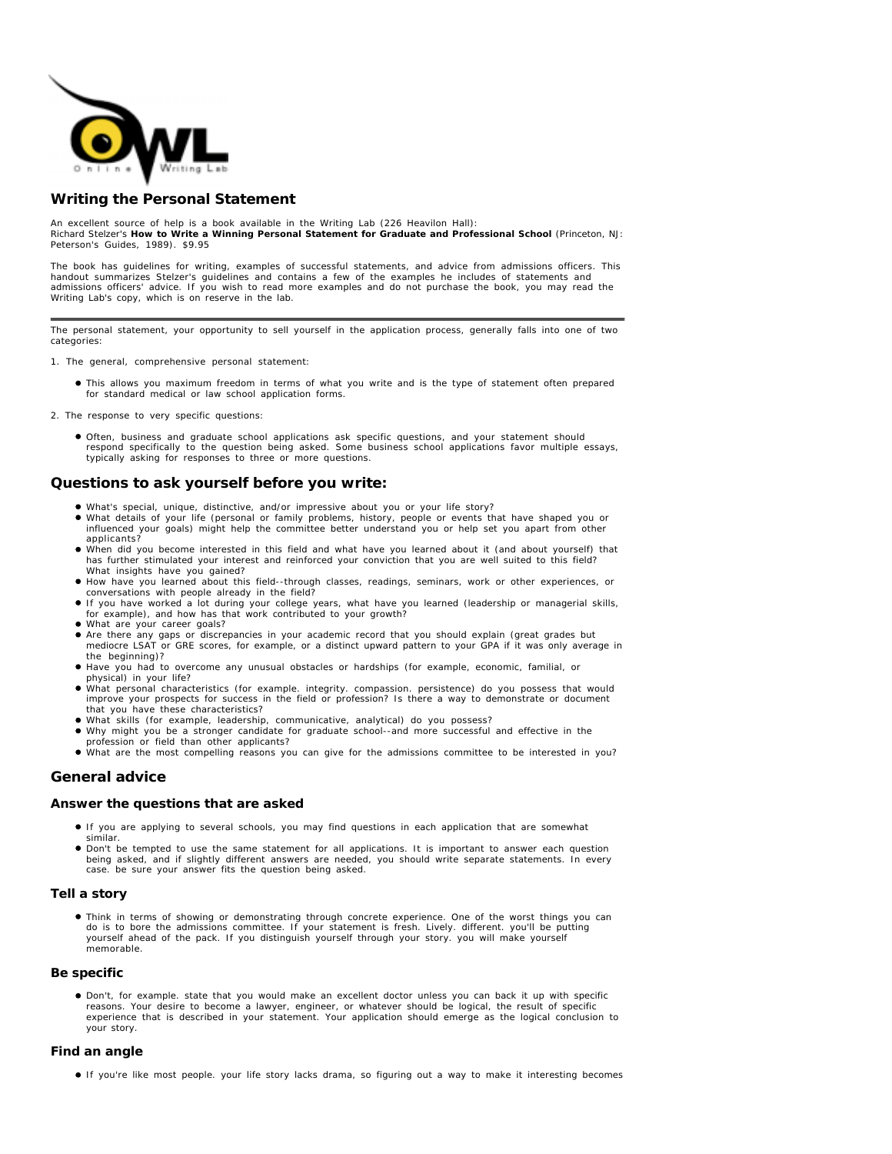

# **Writing the Personal Statement**

An excellent source of help is a book available in the Writing Lab (226 Heavilon Hall): Richard Stelzer's **How to Write a Winning Personal Statement for Graduate and Professional School** (Princeton, NJ: Peterson's Guides, 1989). \$9.95

The book has guidelines for writing, examples of successful statements, and advice from admissions officers. This handout summarizes Stelzer's guidelines and contains a few of the examples he includes of statements and admissions officers' advice. If you wish to read more examples and do not purchase the book, you may read the Writing Lab's copy, which is on reserve in the lab.

The personal statement, your opportunity to sell yourself in the application process, generally falls into one of two categories:

- 1. The general, comprehensive personal statement:
	- This allows you maximum freedom in terms of what you write and is the type of statement often prepared for standard medical or law school application forms.
- 2. The response to very specific questions:
	- Often, business and graduate school applications ask specific questions, and your statement should<br>respond specifically to the question being asked. Some business school applications favor multiple essays,<br>typically asking

## **Questions to ask yourself before you write:**

- What's special, unique, distinctive, and/or impressive about you or your life story?
- What details of your life (personal or family problems, history, people or events that have shaped you or influenced your goals) might help the committee better understand you or help set you apart from other applicants?
- When did you become interested in this field and what have you learned about it (and about yourself) that has further stimulated your interest and reinforced your conviction that you are well suited to this field?
- What insights have you gained? How have you learned about this field--through classes, readings, seminars, work or other experiences, or conversations with people already in the field?
- If you have worked a lot during your college years, what have you learned (leadership or managerial skills, for example), and how has that work contributed to your growth?
- 
- What are your career goals? Are there any gaps or discrepancies in your academic record that you should explain (great grades but mediocre LSAT or GRE scores, for example, or a distinct upward pattern to your GPA if it was only average in the beginning)?
- Have you had to overcome any unusual obstacles or hardships (for example, economic, familial, or physical) in your life?
- What personal characteristics (for example. integrity. compassion. persistence) do you possess that would improve your prospects for success in the field or profession? Is there a way to demonstrate or document that you have these characteristics? What skills (for example, leadership, communicative, analytical) do you possess?
- 
- Why might you be a stronger candidate for graduate school--and more successful and effective in the profession or field than other applicants?
- What are the most compelling reasons you can give for the admissions committee to be interested in you?

## **General advice**

### **Answer the questions that are asked**

- If you are applying to several schools, you may find questions in each application that are somewhat similar.
- Don't be tempted to use the same statement for all applications. It is important to answer each question being asked, and if slightly different answers are needed, you should write separate statements. In every case. be sure your answer fits the question being asked.

## **Tell a story**

Think in terms of showing or demonstrating through concrete experience. One of the worst things you can do is to bore the admissions committee. If your statement is fresh. Lively. different. you'll be putting yourself ahead of the pack. If you distinguish yourself through your story. you will make yourself memorable.

### **Be specific**

Don't, for example. state that you would make an excellent doctor unless you can back it up with specific reasons. Your desire to become a lawyer, engineer, or whatever should be logical, the result of specific experience that is described in your statement. Your application should emerge as the logical conclusion to your story.

### **Find an angle**

If you're like most people. your life story lacks drama, so figuring out a way to make it interesting becomes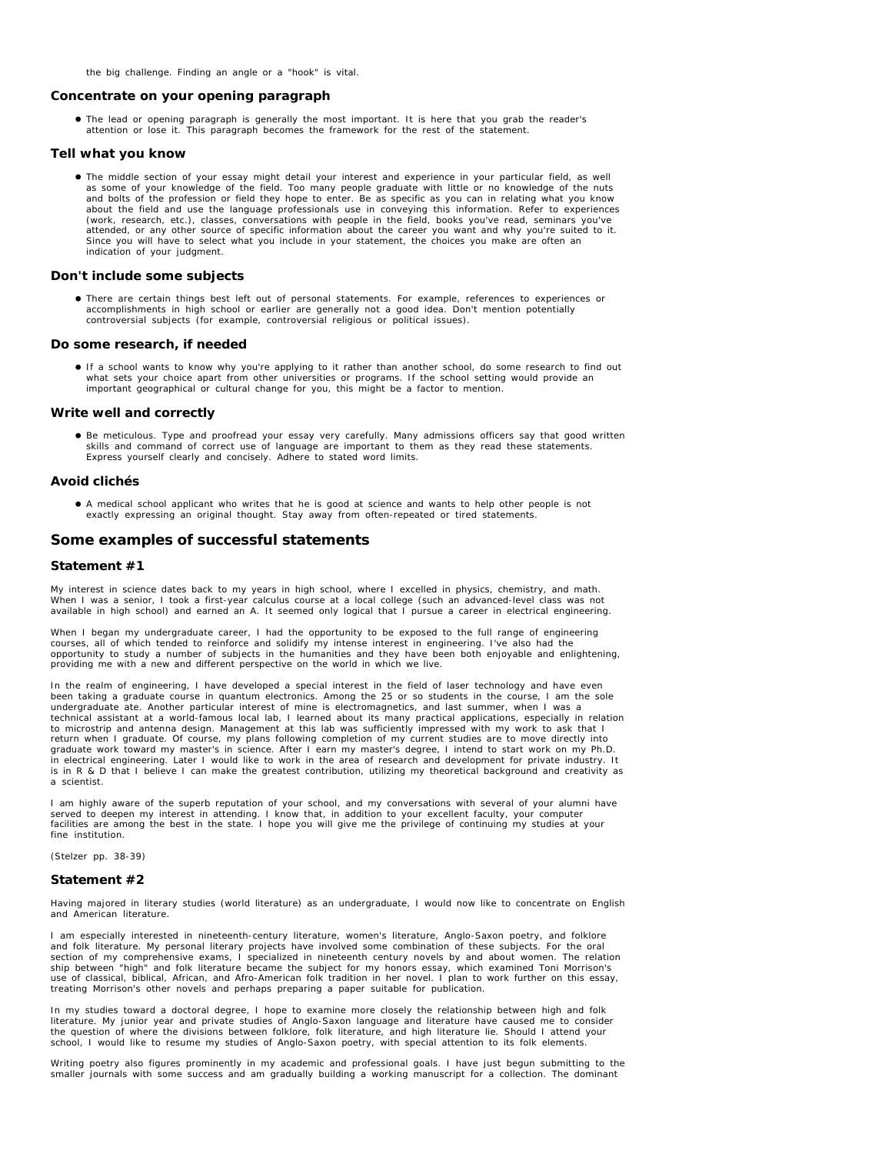the big challenge. Finding an angle or a "hook" is vital.

#### **Concentrate on your opening paragraph**

The lead or opening paragraph is generally the most important. It is here that you grab the reader's attention or lose it. This paragraph becomes the framework for the rest of the statement.

### **Tell what you know**

The middle section of your essay might detail your interest and experience in your particular field, as well as some of your knowledge of the field. Too many people graduate with little or no knowledge of the nuts and bolts of the profession or field they hope to enter. Be as specific as you can in relating what you know<br>about the field and use the language professionals use in conveying this information. Refer to experiences<br>(work, attended, or any other source of specific information about the career you want and why you're suited to it. Since you will have to select what you include in your statement, the choices you make are often an indication of your judgment.

#### **Don't include some subjects**

There are certain things best left out of personal statements. For example, references to experiences or accomplishments in high school or earlier are generally not a good idea. Don't mention potentially controversial subjects (for example, controversial religious or political issues).

#### **Do some research, if needed**

If a school wants to know why you're applying to it rather than another school, do some research to find out what sets your choice apart from other universities or programs. If the school setting would provide an important geographical or cultural change for you, this might be a factor to mention.

#### **Write well and correctly**

Be meticulous. Type and proofread your essay very carefully. Many admissions officers say that good written<br>skills and command of correct use of language are important to them as they read these statements.<br>Express yoursel

#### **Avoid clichés**

A medical school applicant who writes that he is good at science and wants to help other people is not exactly expressing an original thought. Stay away from often-repeated or tired statements.

### **Some examples of successful statements**

#### **Statement #1**

My interest in science dates back to my years in high school, where I excelled in physics, chemistry, and math.<br>When I was a senior, I took a first-year calculus course at a local college (such an advanced-level class was available in high school) and earned an A. It seemed only logical that I pursue a career in electrical engineering.

When I began my undergraduate career, I had the opportunity to be exposed to the full range of engineering courses, all of which tended to reinforce and solidify my intense interest in engineering. I've also had the opportunity to study a number of subjects in the humanities and they have been both enjoyable and enlightening, providing me with a new and different perspective on the world in which we live.

In the realm of engineering, I have developed a special interest in the field of laser technology and have even been taking a graduate course in quantum electronics. Among the 25 or so students in the course, I am the sole undergraduate ate. Another particular interest of mine is electromagnetics, and last summer, when I was a technical assistant at a world-famous local lab, I learned about its many practical applications, especially in relation to microstrip and antenna design. Management at this lab was sufficiently impressed with my work to ask that I return when I graduate. Of course, my plans following completion of my current studies are to move directly into graduate work toward my master's in science. After I earn my master's degree, I intend to start work on my Ph.D. in electrical engineering. Later I would like to work in the area of research and development for private industry. It is in R & D that I believe I can make the greatest contribution, utilizing my theoretical background and creativity as a scientist.

I am highly aware of the superb reputation of your school, and my conversations with several of your alumni have served to deepen my interest in attending. I know that, in addition to your excellent faculty, your computer facilities are among the best in the state. I hope you will give me the privilege of continuing my studies at your fine institution.

(Stelzer pp. 38-39)

#### **Statement #2**

Having majored in literary studies (world literature) as an undergraduate, I would now like to concentrate on English and American literature.

I am especially interested in nineteenth-century literature, women's literature, Anglo-Saxon poetry, and folklore and folk literature. My personal literary projects have involved some combination of these subjects. For the oral section of my comprehensive exams, I specialized in nineteenth century novels by and about women. The relation ship between "high" and folk literature became the subject for my honors essay, which examined Toni Morrison's use of classical, biblical, African, and Afro-American folk tradition in her novel. I plan to work further on this essay, treating Morrison's other novels and perhaps preparing a paper suitable for publication.

In my studies toward a doctoral degree, I hope to examine more closely the relationship between high and folk literature. My junior year and private studies of Anglo-Saxon language and literature have caused me to consider the question of where the divisions between folklore, folk literature, and high literature lie. Should I attend your<br>school, I would like to resume my studies of Anglo-Saxon poetry, with special attention to its folk eleme

Writing poetry also figures prominently in my academic and professional goals. I have just begun submitting to the smaller journals with some success and am gradually building a working manuscript for a collection. The dominant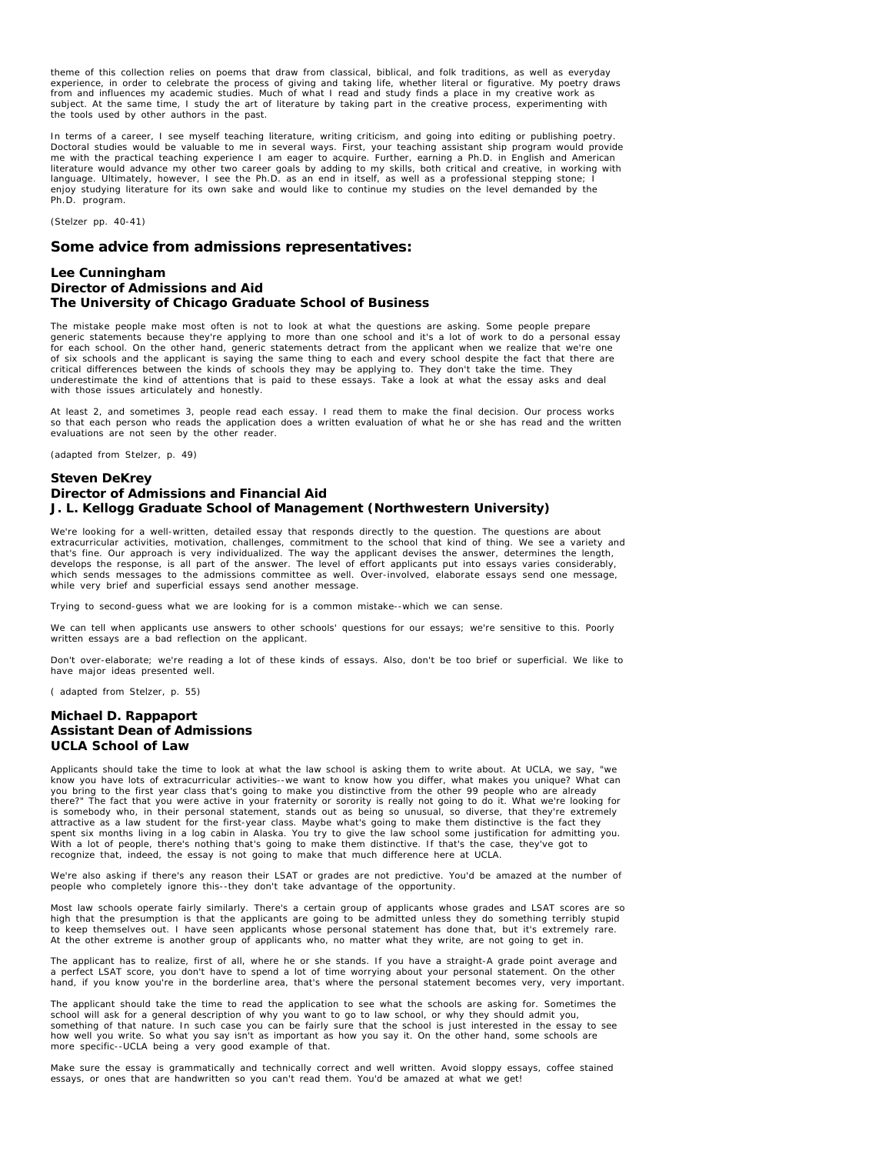theme of this collection relies on poems that draw from classical, biblical, and folk traditions, as well as everyday experience, in order to celebrate the process of giving and taking life, whether literal or figurative. My poetry draws<br>from and influences my academic studies. Much of what I read and study finds a place in my creative wo the tools used by other authors in the past.

In terms of a career, I see myself teaching literature, writing criticism, and going into editing or publishing poetry.<br>Doctoral studies would be valuable to me in several ways. First, your teaching assistant ship program literature would advance my other two career goals by adding to my skills, both critical and creative, in working with language. Ultimately, however, I see the Ph.D. as an end in itself, as well as a professional stepping stone; I enjoy studying literature for its own sake and would like to continue my studies on the level demanded by the Ph.D. program.

(Stelzer pp. 40-41)

## **Some advice from admissions representatives:**

## **Lee Cunningham Director of Admissions and Aid The University of Chicago Graduate School of Business**

The mistake people make most often is not to look at what the questions are asking. Some people prepare generic statements because they're applying to more than one school and it's a lot of work to do a personal essay<br>for each school. On the other hand, generic statements detract from the applicant when we realize that we're underestimate the kind of attentions that is paid to these essays. Take a look at what the essay asks and deal with those issues articulately and honestly.

At least 2, and sometimes 3, people read each essay. I read them to make the final decision. Our process works so that each person who reads the application does a written evaluation of what he or she has read and the written evaluations are not seen by the other reader.

(adapted from Stelzer, p. 49)

## **Steven DeKrey Director of Admissions and Financial Aid J. L. Kellogg Graduate School of Management (Northwestern University)**

We're looking for a well-written, detailed essay that responds directly to the question. The questions are about<br>extracurricular activities, motivation, challenges, commitment to the school that kind of thing. We see a var develops the response, is all part of the answer. The level of effort applicants put into essays varies considerably, which sends messages to the admissions committee as well. Over-involved, elaborate essays send one message, while very brief and superficial essays send another message.

Trying to second-guess what we are looking for is a common mistake--which we can sense.

We can tell when applicants use answers to other schools' questions for our essays; we're sensitive to this. Poorly written essays are a bad reflection on the applicant.

Don't over-elaborate; we're reading a lot of these kinds of essays. Also, don't be too brief or superficial. We like to have major ideas presented well.

( adapted from Stelzer, p. 55)

## **Michael D. Rappaport Assistant Dean of Admissions UCLA School of Law**

Applicants should take the time to look at what the law school is asking them to write about. At UCLA, we say, "we know you have lots of extracurricular activities--we want to know how you differ, what makes you unique? What can you bring to the first year class that's going to make you distinctive from the other 99 people who are already<br>there?" The fact that you were active in your fraternity or sorority is really not going to do it. What we're attractive as a law student for the first-year class. Maybe what's going to make them distinctive is the fact they spent six months living in a log cabin in Alaska. You try to give the law school some justification for admitting you.<br>With a lot of people, there's nothing that's going to make them distinctive. If that's the case, they'v recognize that, indeed, the essay is not going to make that much difference here at UCLA.

We're also asking if there's any reason their LSAT or grades are not predictive. You'd be amazed at the number of people who completely ignore this--they don't take advantage of the opportunity.

Most law schools operate fairly similarly. There's a certain group of applicants whose grades and LSAT scores are so high that the presumption is that the applicants are going to be admitted unless they do something terribly stupid to keep themselves out. I have seen applicants whose personal statement has done that, but it's extremely rare. At the other extreme is another group of applicants who, no matter what they write, are not going to get in.

The applicant has to realize, first of all, where he or she stands. If you have a straight-A grade point average and a perfect LSAT score, you don't have to spend a lot of time worrying about your personal statement. On the other hand, if you know you're in the borderline area, that's where the personal statement becomes very, very important.

The applicant should take the time to read the application to see what the schools are asking for. Sometimes the school will ask for a general description of why you want to go to law school, or why they should admit you,<br>something of that nature. In such case you can be fairly sure that the school is just interested in the essay to how well you write. So what you say isn't as important as how you say it. On the other hand, some schools are more specific--UCLA being a very good example of that.

Make sure the essay is grammatically and technically correct and well written. Avoid sloppy essays, coffee stained essays, or ones that are handwritten so you can't read them. You'd be amazed at what we get!